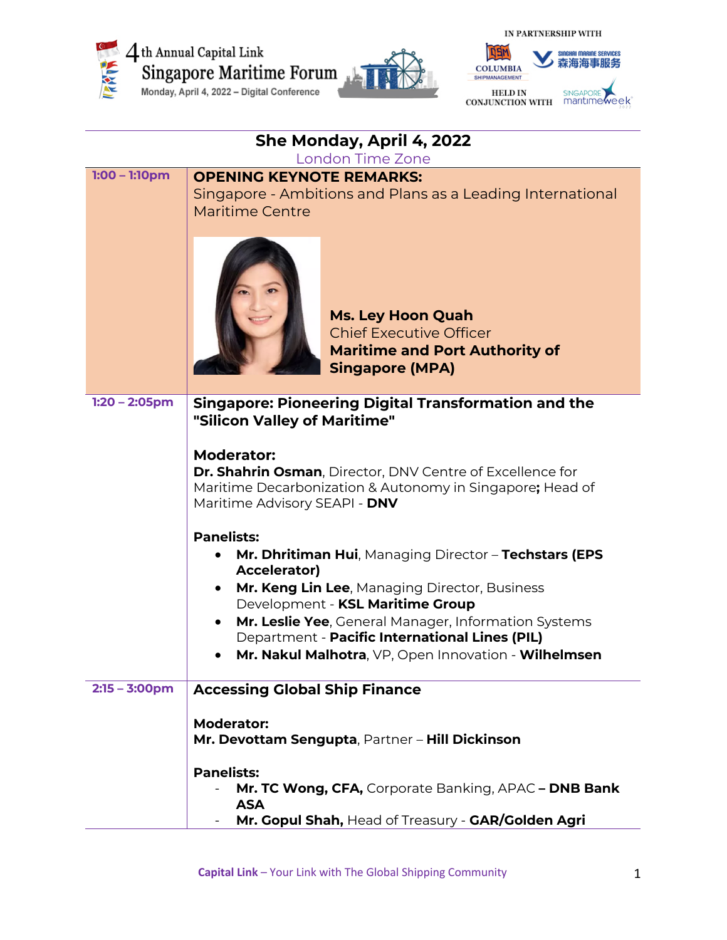



| She Monday, April 4, 2022 |                                                                                                                               |  |
|---------------------------|-------------------------------------------------------------------------------------------------------------------------------|--|
| <b>London Time Zone</b>   |                                                                                                                               |  |
| $1:00 - 1:10$ pm          | <b>OPENING KEYNOTE REMARKS:</b>                                                                                               |  |
|                           | Singapore - Ambitions and Plans as a Leading International<br><b>Maritime Centre</b>                                          |  |
|                           |                                                                                                                               |  |
|                           | <b>Ms. Ley Hoon Quah</b><br><b>Chief Executive Officer</b><br><b>Maritime and Port Authority of</b><br><b>Singapore (MPA)</b> |  |
| $1:20 - 2:05$ pm          | <b>Singapore: Pioneering Digital Transformation and the</b><br>"Silicon Valley of Maritime"                                   |  |
|                           | <b>Moderator:</b>                                                                                                             |  |
|                           | <b>Dr. Shahrin Osman, Director, DNV Centre of Excellence for</b>                                                              |  |
|                           | Maritime Decarbonization & Autonomy in Singapore; Head of<br>Maritime Advisory SEAPI - DNV                                    |  |
|                           | <b>Panelists:</b>                                                                                                             |  |
|                           | Mr. Dhritiman Hui, Managing Director - Techstars (EPS<br><b>Accelerator)</b>                                                  |  |
|                           | Mr. Keng Lin Lee, Managing Director, Business                                                                                 |  |
|                           | Development - KSL Maritime Group                                                                                              |  |
|                           | Mr. Leslie Yee, General Manager, Information Systems<br>Department - Pacific International Lines (PIL)                        |  |
|                           | Mr. Nakul Malhotra, VP, Open Innovation - Wilhelmsen                                                                          |  |
|                           |                                                                                                                               |  |
| $2:15 - 3:00$ pm          | <b>Accessing Global Ship Finance</b>                                                                                          |  |
|                           | <b>Moderator:</b><br>Mr. Devottam Sengupta, Partner - Hill Dickinson                                                          |  |
|                           | <b>Panelists:</b>                                                                                                             |  |
|                           | Mr. TC Wong, CFA, Corporate Banking, APAC - DNB Bank<br><b>ASA</b>                                                            |  |
|                           | Mr. Gopul Shah, Head of Treasury - GAR/Golden Agri                                                                            |  |